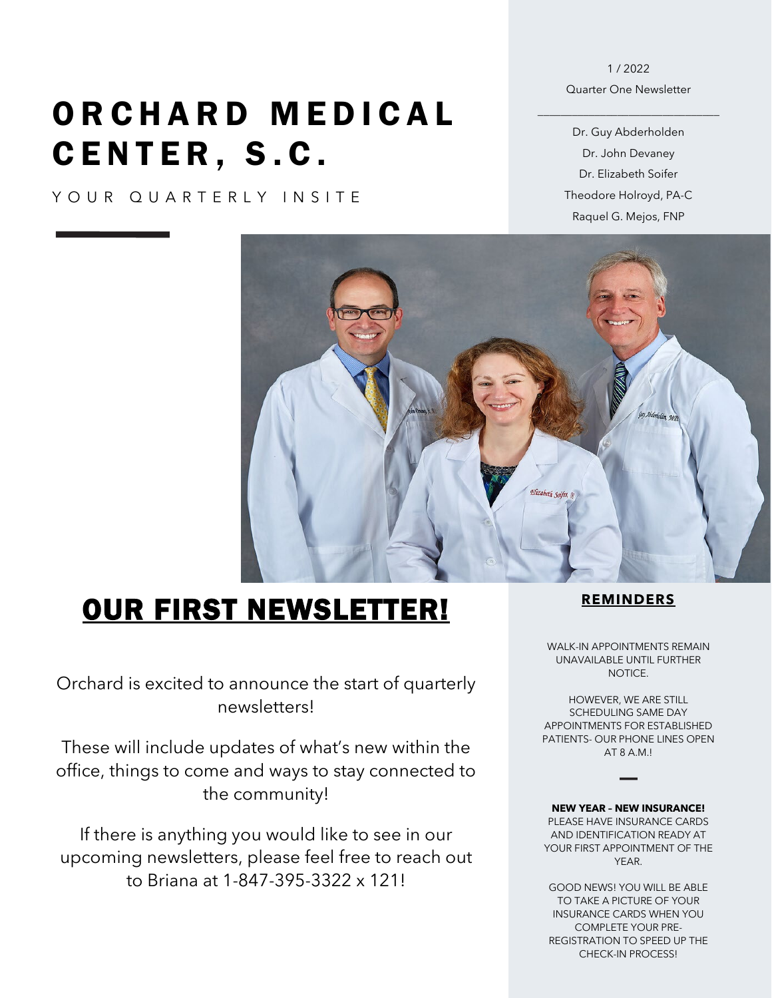# ORCHARD MEDICAL CENTER , S.C.

YOUR QUARTERLY INSITE

#### 1 / 2022 Quarter One Newsletter

\_\_\_\_\_\_\_\_\_\_\_\_\_\_\_\_\_\_\_\_\_\_\_\_\_\_\_\_\_\_\_\_

Dr. Guy Abderholden Dr. John Devaney Dr. Elizabeth Soifer Theodore Holroyd, PA-C Raquel G. Mejos, FNP



## OUR FIRST NEWSLETTER!

Orchard is excited to announce the start of quarterly newsletters!

These will include updates of what's new within the office, things to come and ways to stay connected to the community!

If there is anything you would like to see in our upcoming newsletters, please feel free to reach out to Briana at 1-847-395-3322 x 121!

#### **REMINDERS**

WALK-IN APPOINTMENTS REMAIN UNAVAILABLE UNTIL FURTHER NOTICE.

HOWEVER, WE ARE STILL SCHEDULING SAME DAY APPOINTMENTS FOR ESTABLISHED PATIENTS- OUR PHONE LINES OPEN AT 8 A.M.!

**NEW YEAR – NEW INSURANCE!** PLEASE HAVE INSURANCE CARDS AND IDENTIFICATION READY AT YOUR FIRST APPOINTMENT OF THE YEAR.

GOOD NEWS! YOU WILL BE ABLE TO TAKE A PICTURE OF YOUR INSURANCE CARDS WHEN YOU COMPLETE YOUR PRE-REGISTRATION TO SPEED UP THE CHECK-IN PROCESS!